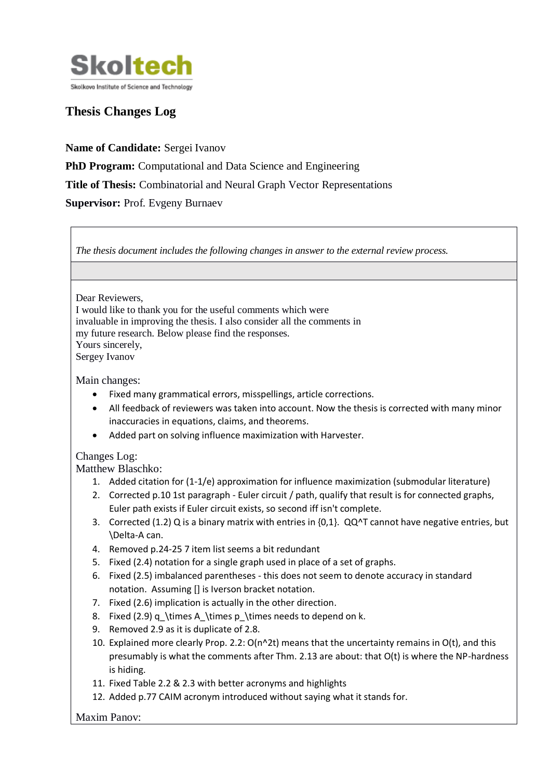

## **Thesis Changes Log**

**Name of Candidate:** Sergei Ivanov **PhD Program:** Computational and Data Science and Engineering **Title of Thesis:** Combinatorial and Neural Graph Vector Representations **Supervisor: Prof. Evgeny Burnaev** 

| The thesis document includes the following changes in answer to the external review process.                                                                                                                                                                                                                         |
|----------------------------------------------------------------------------------------------------------------------------------------------------------------------------------------------------------------------------------------------------------------------------------------------------------------------|
|                                                                                                                                                                                                                                                                                                                      |
| Dear Reviewers,<br>I would like to thank you for the useful comments which were<br>invaluable in improving the thesis. I also consider all the comments in<br>my future research. Below please find the responses.<br>Yours sincerely,<br>Sergey Ivanov                                                              |
| Main changes:<br>Fixed many grammatical errors, misspellings, article corrections.<br>All feedback of reviewers was taken into account. Now the thesis is corrected with many minor<br>$\bullet$<br>inaccuracies in equations, claims, and theorems.<br>Added part on solving influence maximization with Harvester. |
| Changes Log:<br><b>Matthew Blaschko:</b>                                                                                                                                                                                                                                                                             |
| 1. Added citation for (1-1/e) approximation for influence maximization (submodular literature)<br>2. Corrected p.10 1st paragraph - Euler circuit / path, qualify that result is for connected graphs,<br>Euler path exists if Euler circuit exists, so second iff isn't complete.                                   |
| 3. Corrected (1.2) Q is a binary matrix with entries in {0,1}. QQ^T cannot have negative entries, but<br>\Delta-A can.                                                                                                                                                                                               |
| 4. Removed p.24-25 7 item list seems a bit redundant                                                                                                                                                                                                                                                                 |
| Fixed (2.4) notation for a single graph used in place of a set of graphs.<br>5.                                                                                                                                                                                                                                      |
| Fixed (2.5) imbalanced parentheses - this does not seem to denote accuracy in standard<br>6.<br>notation. Assuming [] is Iverson bracket notation.                                                                                                                                                                   |
| Fixed (2.6) implication is actually in the other direction.<br>7.                                                                                                                                                                                                                                                    |
| Fixed (2.9) q_\times A_\times p_\times needs to depend on k.<br>8.                                                                                                                                                                                                                                                   |
| Removed 2.9 as it is duplicate of 2.8.<br>9.                                                                                                                                                                                                                                                                         |
| 10. Explained more clearly Prop. 2.2: O(n^2t) means that the uncertainty remains in O(t), and this<br>presumably is what the comments after Thm. 2.13 are about: that O(t) is where the NP-hardness<br>is hiding.                                                                                                    |
| 11. Fixed Table 2.2 & 2.3 with better acronyms and highlights                                                                                                                                                                                                                                                        |
| 12. Added p.77 CAIM acronym introduced without saying what it stands for.                                                                                                                                                                                                                                            |

Maxim Panov: